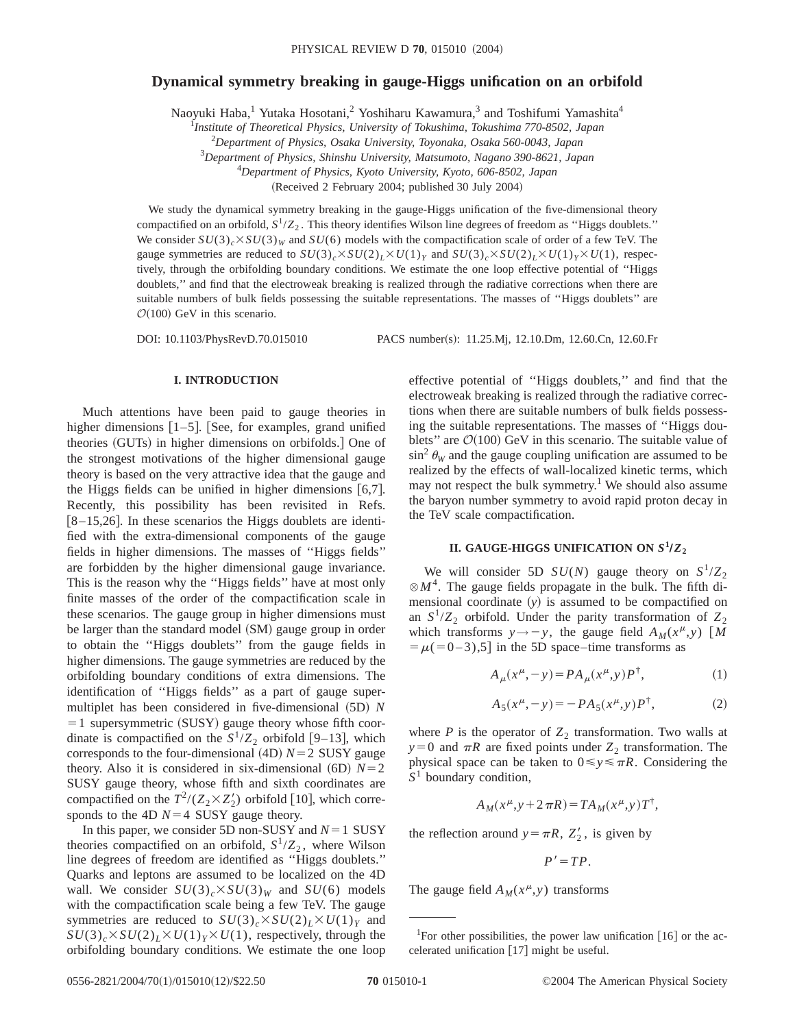## **Dynamical symmetry breaking in gauge-Higgs unification on an orbifold**

Naoyuki Haba,<sup>1</sup> Yutaka Hosotani,<sup>2</sup> Yoshiharu Kawamura,<sup>3</sup> and Toshifumi Yamashita<sup>4</sup>

1 *Institute of Theoretical Physics, University of Tokushima, Tokushima 770-8502, Japan*

2 *Department of Physics, Osaka University, Toyonaka, Osaka 560-0043, Japan*

3 *Department of Physics, Shinshu University, Matsumoto, Nagano 390-8621, Japan*

4 *Department of Physics, Kyoto University, Kyoto, 606-8502, Japan*

(Received 2 February 2004; published 30 July 2004)

We study the dynamical symmetry breaking in the gauge-Higgs unification of the five-dimensional theory compactified on an orbifold, *S*1/*Z*<sup>2</sup> . This theory identifies Wilson line degrees of freedom as ''Higgs doublets.'' We consider  $SU(3)_c \times SU(3)_W$  and  $SU(6)$  models with the compactification scale of order of a few TeV. The gauge symmetries are reduced to  $SU(3)_c \times SU(2)_L \times U(1)_Y$  and  $SU(3)_c \times SU(2)_L \times U(1)_Y \times U(1)$ , respectively, through the orbifolding boundary conditions. We estimate the one loop effective potential of ''Higgs doublets,'' and find that the electroweak breaking is realized through the radiative corrections when there are suitable numbers of bulk fields possessing the suitable representations. The masses of ''Higgs doublets'' are  $O(100)$  GeV in this scenario.

DOI: 10.1103/PhysRevD.70.015010 PACS number(s): 11.25.Mj, 12.10.Dm, 12.60.Cn, 12.60.Fr

#### **I. INTRODUCTION**

Much attentions have been paid to gauge theories in higher dimensions  $[1-5]$ . [See, for examples, grand unified theories (GUTs) in higher dimensions on orbifolds.] One of the strongest motivations of the higher dimensional gauge theory is based on the very attractive idea that the gauge and the Higgs fields can be unified in higher dimensions  $[6,7]$ . Recently, this possibility has been revisited in Refs.  $[8-15,26]$ . In these scenarios the Higgs doublets are identified with the extra-dimensional components of the gauge fields in higher dimensions. The masses of ''Higgs fields'' are forbidden by the higher dimensional gauge invariance. This is the reason why the ''Higgs fields'' have at most only finite masses of the order of the compactification scale in these scenarios. The gauge group in higher dimensions must be larger than the standard model (SM) gauge group in order to obtain the ''Higgs doublets'' from the gauge fields in higher dimensions. The gauge symmetries are reduced by the orbifolding boundary conditions of extra dimensions. The identification of ''Higgs fields'' as a part of gauge supermultiplet has been considered in five-dimensional (5D) *N*  $=1$  supersymmetric (SUSY) gauge theory whose fifth coordinate is compactified on the  $S^1/Z_2$  orbifold [9–13], which corresponds to the four-dimensional  $(4D)$   $N=2$  SUSY gauge theory. Also it is considered in six-dimensional  $(6D)$   $N=2$ SUSY gauge theory, whose fifth and sixth coordinates are compactified on the  $T^2/(Z_2 \times Z_2')$  orbifold [10], which corresponds to the 4D  $N=4$  SUSY gauge theory.

In this paper, we consider 5D non-SUSY and  $N=1$  SUSY theories compactified on an orbifold,  $S^1/Z_2$ , where Wilson line degrees of freedom are identified as ''Higgs doublets.'' Quarks and leptons are assumed to be localized on the 4D wall. We consider  $SU(3)_c \times SU(3)_W$  and  $SU(6)$  models with the compactification scale being a few TeV. The gauge symmetries are reduced to  $SU(3)_c \times SU(2)_L \times U(1)_Y$  and  $SU(3)_c \times SU(2)_L \times U(1)_Y \times U(1)$ , respectively, through the orbifolding boundary conditions. We estimate the one loop effective potential of ''Higgs doublets,'' and find that the electroweak breaking is realized through the radiative corrections when there are suitable numbers of bulk fields possessing the suitable representations. The masses of ''Higgs doublets" are  $\mathcal{O}(100)$  GeV in this scenario. The suitable value of  $\sin^2 \theta_W$  and the gauge coupling unification are assumed to be realized by the effects of wall-localized kinetic terms, which may not respect the bulk symmetry.<sup>1</sup> We should also assume the baryon number symmetry to avoid rapid proton decay in the TeV scale compactification.

### **II. GAUGE-HIGGS UNIFICATION ON**  $S^1/Z_2$

We will consider 5D  $SU(N)$  gauge theory on  $S^1/Z_2$  $\otimes M^4$ . The gauge fields propagate in the bulk. The fifth dimensional coordinate  $(y)$  is assumed to be compactified on an  $S^1/Z_2$  orbifold. Under the parity transformation of  $Z_2$ which transforms  $y \rightarrow -y$ , the gauge field  $A_M(x^{\mu}, y)$  [*M*  $= \mu(-6-3), 5$  in the 5D space–time transforms as

$$
A_{\mu}(x^{\mu}, -y) = PA_{\mu}(x^{\mu}, y)P^{\dagger}, \tag{1}
$$

$$
A_5(x^{\mu}, -y) = -PA_5(x^{\mu}, y)P^{\dagger}, \tag{2}
$$

where  $P$  is the operator of  $Z_2$  transformation. Two walls at  $y=0$  and  $\pi R$  are fixed points under  $Z_2$  transformation. The physical space can be taken to  $0 \le y \le \pi R$ . Considering the *S*<sup>1</sup> boundary condition,

$$
A_{M}(x^{\mu}, y + 2\pi R) = TA_{M}(x^{\mu}, y)T^{\dagger},
$$

the reflection around  $y = \pi R$ ,  $Z'_2$ , is given by

 $P' = TP$ .

The gauge field  $A_M(x^{\mu}, y)$  transforms

<sup>&</sup>lt;sup>1</sup>For other possibilities, the power law unification  $[16]$  or the accelerated unification  $[17]$  might be useful.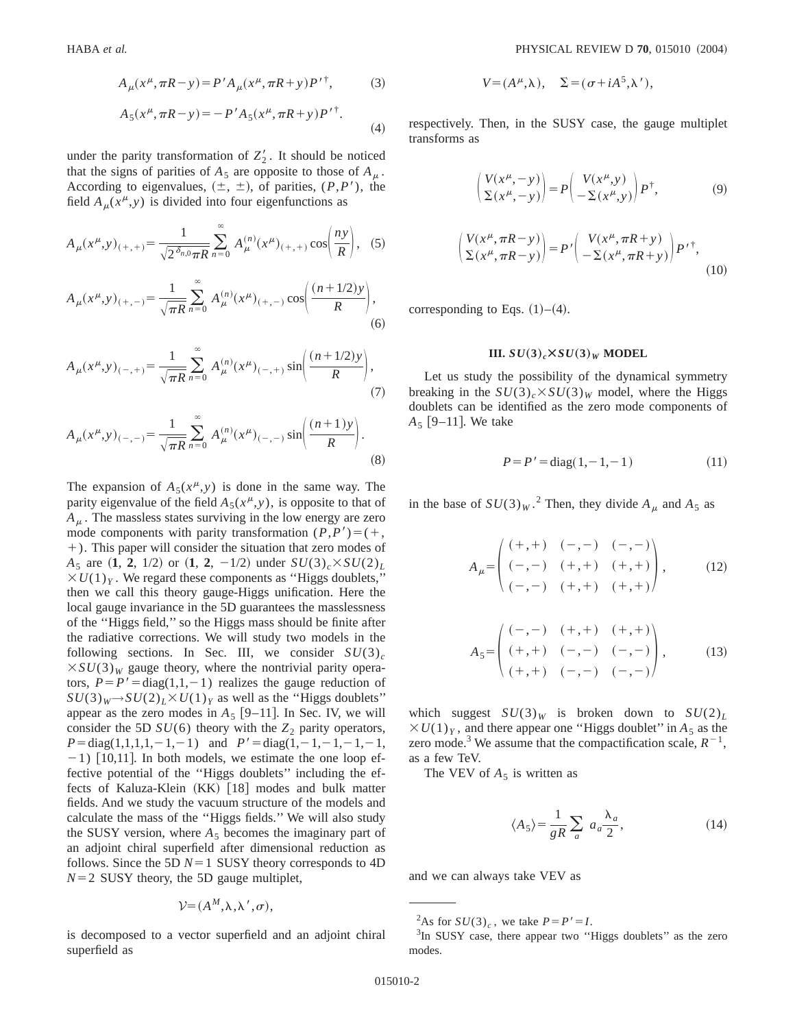$$
A_{\mu}(x^{\mu}, \pi R - y) = P' A_{\mu}(x^{\mu}, \pi R + y) P'^{\dagger}, \tag{3}
$$

$$
A_5(x^{\mu}, \pi R - y) = -P' A_5(x^{\mu}, \pi R + y) P'^{\dagger}.
$$
\n(4)

under the parity transformation of  $Z'_2$ . It should be noticed that the signs of parities of  $A_5$  are opposite to those of  $A_n$ . According to eigenvalues,  $(\pm, \pm)$ , of parities,  $(P, P')$ , the field  $A_\mu(x^\mu, y)$  is divided into four eigenfunctions as

$$
A_{\mu}(x^{\mu},y)_{(+,+)} = \frac{1}{\sqrt{2^{\delta_{n,0}}\pi R}} \sum_{n=0}^{\infty} A_{\mu}^{(n)}(x^{\mu})_{(+,+)} \cos\left(\frac{ny}{R}\right), (5)
$$

$$
A_{\mu}(x^{\mu},y)_{(+,-)} = \frac{1}{\sqrt{\pi R}} \sum_{n=0}^{\infty} A_{\mu}^{(n)}(x^{\mu})_{(+,-)} \cos\left(\frac{(n+1/2)y}{R}\right),\tag{6}
$$

$$
A_{\mu}(x^{\mu},y)_{(-,+)} = \frac{1}{\sqrt{\pi R}} \sum_{n=0}^{\infty} A_{\mu}^{(n)}(x^{\mu})_{(-,+)} \sin\left(\frac{(n+1/2)y}{R}\right),\tag{7}
$$

$$
A_{\mu}(x^{\mu},y)_{(-,-)} = \frac{1}{\sqrt{\pi R}} \sum_{n=0}^{\infty} A_{\mu}^{(n)}(x^{\mu})_{(-,-)} \sin\left(\frac{(n+1)y}{R}\right).
$$
\n(8)

The expansion of  $A_5(x^{\mu}, y)$  is done in the same way. The parity eigenvalue of the field  $A_5(x^{\mu}, y)$ , is opposite to that of  $A<sub>u</sub>$ . The massless states surviving in the low energy are zero mode components with parity transformation  $(P, P') = (+,$ 1). This paper will consider the situation that zero modes of *A*<sub>5</sub> are  $(1, 2, 1/2)$  or  $(1, 2, -1/2)$  under  $SU(3)_c \times SU(2)_L$  $XU(1)_Y$ . We regard these components as "Higgs doublets," then we call this theory gauge-Higgs unification. Here the local gauge invariance in the 5D guarantees the masslessness of the ''Higgs field,'' so the Higgs mass should be finite after the radiative corrections. We will study two models in the following sections. In Sec. III, we consider  $SU(3)_c$  $\times SU(3)_W$  gauge theory, where the nontrivial parity operators,  $P = P' = diag(1,1,-1)$  realizes the gauge reduction of  $SU(3)_W \rightarrow SU(2)_L \times U(1)_Y$  as well as the "Higgs doublets" appear as the zero modes in  $A_5$  [9–11]. In Sec. IV, we will consider the 5D  $SU(6)$  theory with the  $Z_2$  parity operators,  $P = diag(1,1,1,1,-1,-1)$  and  $P' = diag(1,-1,-1,-1,-1,$  $-1)$  [10,11]. In both models, we estimate the one loop effective potential of the ''Higgs doublets'' including the effects of Kaluza-Klein  $(KK)$  [18] modes and bulk matter fields. And we study the vacuum structure of the models and calculate the mass of the ''Higgs fields.'' We will also study the SUSY version, where  $A_5$  becomes the imaginary part of an adjoint chiral superfield after dimensional reduction as follows. Since the 5D  $N=1$  SUSY theory corresponds to 4D  $N=2$  SUSY theory, the 5D gauge multiplet,

$$
V = (A^M, \lambda, \lambda', \sigma),
$$

is decomposed to a vector superfield and an adjoint chiral superfield as

$$
V = (A^{\mu}, \lambda), \quad \Sigma = (\sigma + iA^5, \lambda'),
$$

respectively. Then, in the SUSY case, the gauge multiplet transforms as

$$
\begin{pmatrix} V(x^{\mu}, -y) \\ \Sigma(x^{\mu}, -y) \end{pmatrix} = P \begin{pmatrix} V(x^{\mu}, y) \\ -\Sigma(x^{\mu}, y) \end{pmatrix} P^{\dagger}, \tag{9}
$$

$$
\begin{pmatrix} V(x^{\mu}, \pi R - y) \\ \Sigma(x^{\mu}, \pi R - y) \end{pmatrix} = P' \begin{pmatrix} V(x^{\mu}, \pi R + y) \\ -\Sigma(x^{\mu}, \pi R + y) \end{pmatrix} P'^{\dagger}, \tag{10}
$$

corresponding to Eqs.  $(1)–(4)$ .

#### **III.**  $SU(3)_c \times SU(3)_W$  **MODEL**

Let us study the possibility of the dynamical symmetry breaking in the  $SU(3)_c \times SU(3)_W$  model, where the Higgs doublets can be identified as the zero mode components of  $A_5$  [9–11]. We take

$$
P = P' = diag(1, -1, -1)
$$
 (11)

in the base of  $SU(3)_W$ .<sup>2</sup> Then, they divide  $A_\mu$  and  $A_5$  as

$$
A_{\mu} = \begin{pmatrix} (+, +) & (-, -) & (-, -) \\ (-, -) & (+, +) & (+, +) \\ (-, -) & (+, +) & (+, +) \end{pmatrix}, \quad (12)
$$

$$
A_{5} = \begin{pmatrix} (-,-) & (+,+) & (+,+) \\ (+,+) & (-,-) & (-,-) \\ (+,+) & (-,-) & (-,-) \end{pmatrix}, \quad (13)
$$

which suggest  $SU(3)_W$  is broken down to  $SU(2)_L$  $\times U(1)_Y$ , and there appear one "Higgs doublet" in  $A_5$  as the zero mode.<sup>3</sup> We assume that the compactification scale,  $R^{-1}$ , as a few TeV.

The VEV of  $A_5$  is written as

$$
\langle A_5 \rangle = \frac{1}{gR} \sum_a a_a \frac{\lambda_a}{2},\tag{14}
$$

and we can always take VEV as

<sup>&</sup>lt;sup>2</sup>As for *SU*(3)<sub>c</sub>, we take  $P = P' = I$ .<br><sup>3</sup>In SUSY case, there appear two "

<sup>&</sup>lt;sup>3</sup>In SUSY case, there appear two "Higgs doublets" as the zero modes.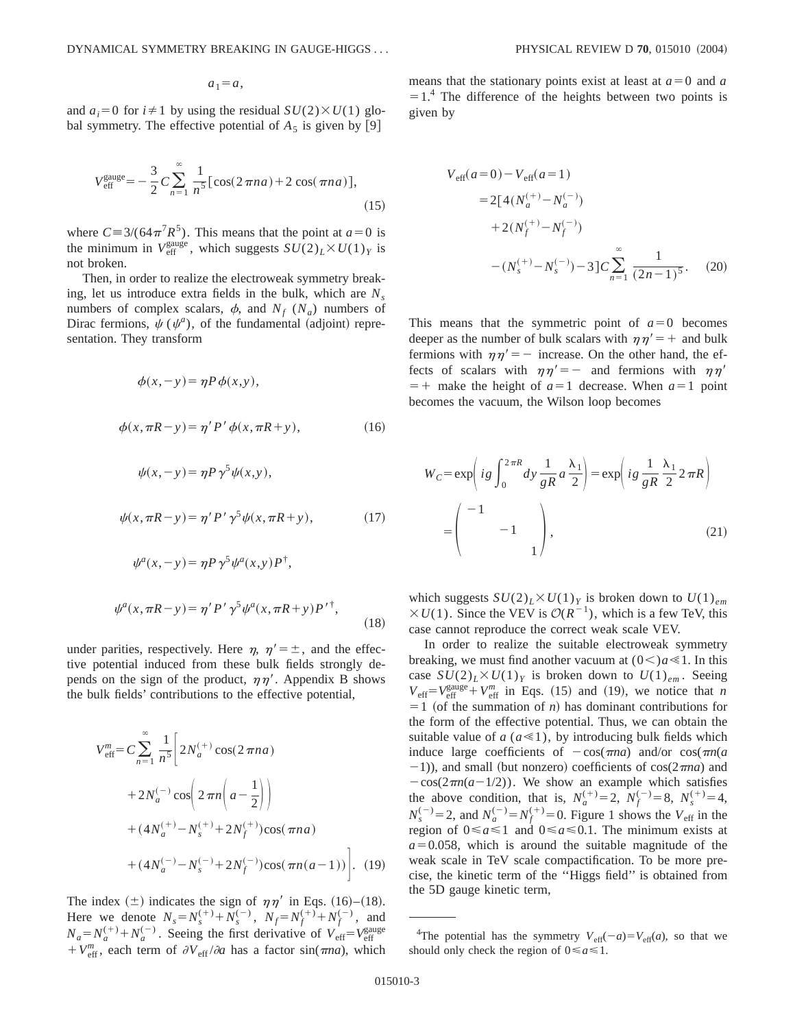$a_1 = a$ ,

and  $a_i=0$  for  $i\neq 1$  by using the residual  $SU(2)\times U(1)$  global symmetry. The effective potential of  $A_5$  is given by [9]

$$
V_{\text{eff}}^{\text{gauge}} = -\frac{3}{2} C \sum_{n=1}^{\infty} \frac{1}{n^5} [\cos(2\pi na) + 2\cos(\pi na)],\tag{15}
$$

where  $C = 3/(64\pi^7 R^5)$ . This means that the point at  $a=0$  is the minimum in  $V_{\text{eff}}^{\text{gauge}}$ , which suggests  $SU(2)_L \times U(1)_Y$  is not broken.

Then, in order to realize the electroweak symmetry breaking, let us introduce extra fields in the bulk, which are  $N_s$ numbers of complex scalars,  $\phi$ , and  $N_f$  ( $N_a$ ) numbers of Dirac fermions,  $\psi$  ( $\psi^a$ ), of the fundamental (adjoint) representation. They transform

$$
\phi(x, -y) = \eta P \phi(x, y),
$$
  

$$
\phi(x, \pi R - y) = \eta' P' \phi(x, \pi R + y),
$$
 (16)

$$
\psi(x, -y) = \eta P \gamma^5 \psi(x, y),
$$

$$
\psi(x, \pi R - y) = \eta' P' \gamma^5 \psi(x, \pi R + y), \tag{17}
$$

$$
\psi^{a}(x,-y) = \eta P \gamma^{5} \psi^{a}(x,y) P^{\dagger},
$$
  

$$
\psi^{a}(x,\pi R - y) = \eta' P' \gamma^{5} \psi^{a}(x,\pi R + y) P'^{\dagger},
$$
 (18)

under parities, respectively. Here  $\eta$ ,  $\eta' = \pm$ , and the effective potential induced from these bulk fields strongly depends on the sign of the product,  $\eta \eta'$ . Appendix B shows the bulk fields' contributions to the effective potential,

$$
V_{\text{eff}}^{m} = C \sum_{n=1}^{\infty} \frac{1}{n^{5}} \left[ 2N_{a}^{(+)} \cos(2 \pi n a) + 2N_{a}^{(-)} \cos\left(2 \pi n \left(a - \frac{1}{2}\right)\right) + (4N_{a}^{(+)} - N_{s}^{(+)} + 2N_{f}^{(+)}) \cos(\pi n a) + (4N_{a}^{(-)} - N_{s}^{(-)} + 2N_{f}^{(-)}) \cos(\pi n (a - 1)) \right]. \tag{19}
$$

The index  $(\pm)$  indicates the sign of  $\eta\eta'$  in Eqs. (16)–(18). Here we denote  $N_s = N_s^{(+)} + N_s^{(-)}$ ,  $N_f = N_f^{(+)} + N_f^{(-)}$ , and  $N_a = N_a^{(+)} + N_a^{(-)}$ . Seeing the first derivative of  $V_{\text{eff}} = V_{\text{eff}}^{\text{gauge}}$  $+ V_{\text{eff}}^{m}$ , each term of  $\partial V_{\text{eff}} / \partial a$  has a factor sin( $\pi n a$ ), which means that the stationary points exist at least at  $a=0$  and  $a$  $=1<sup>4</sup>$ . The difference of the heights between two points is given by

$$
V_{\text{eff}}(a=0) - V_{\text{eff}}(a=1)
$$
  
= 2[4(N\_a^{(+)} - N\_a^{(-)})  
+ 2(N\_f^{(+)} - N\_f^{(-)})  
-(N\_s^{(+)} - N\_s^{(-)}) - 3]C \sum\_{n=1}^{\infty} \frac{1}{(2n-1)^5}. (20)

This means that the symmetric point of  $a=0$  becomes deeper as the number of bulk scalars with  $\eta \eta' = +$  and bulk fermions with  $\eta \eta' = -$  increase. On the other hand, the effects of scalars with  $\eta \eta' = -$  and fermions with  $\eta \eta'$  $=$  + make the height of  $a=1$  decrease. When  $a=1$  point becomes the vacuum, the Wilson loop becomes

$$
W_C = \exp\left(ig \int_0^{2\pi R} dy \frac{1}{gR} a \frac{\lambda_1}{2}\right) = \exp\left(ig \frac{1}{gR} \frac{\lambda_1}{2} 2\pi R\right)
$$

$$
= \begin{pmatrix} -1 & & \\ & -1 & \\ & & 1 \end{pmatrix}, \tag{21}
$$

which suggests  $SU(2)_L \times U(1)_Y$  is broken down to  $U(1)_{em}$  $\times U(1)$ . Since the VEV is  $O(R^{-1})$ , which is a few TeV, this case cannot reproduce the correct weak scale VEV.

In order to realize the suitable electroweak symmetry breaking, we must find another vacuum at  $(0<)a \le 1$ . In this case  $SU(2)_L \times U(1)_Y$  is broken down to  $U(1)_{em}$ . Seeing  $V_{\text{eff}} = V_{\text{eff}}^{\text{gauge}} + V_{\text{eff}}^m$  in Eqs. (15) and (19), we notice that *n*  $=1$  (of the summation of *n*) has dominant contributions for the form of the effective potential. Thus, we can obtain the suitable value of  $a (a \ll 1)$ , by introducing bulk fields which induce large coefficients of  $-\cos(\pi na)$  and/or  $\cos(\pi n/a)$  $(-1)$ ), and small (but nonzero) coefficients of cos( $2\pi$ *na*) and  $-cos(2\pi n(a-1/2))$ . We show an example which satisfies the above condition, that is,  $N_a^{(+)}=2$ ,  $N_f^{(-)}=8$ ,  $N_s^{(+)}=4$ ,  $N_s^{(-)}=2$ , and  $N_a^{(-)}=N_f^{(+)}=0$ . Figure 1 shows the  $V_{\text{eff}}$  in the region of  $0 \le a \le 1$  and  $0 \le a \le 0.1$ . The minimum exists at  $a=0.058$ , which is around the suitable magnitude of the weak scale in TeV scale compactification. To be more precise, the kinetic term of the ''Higgs field'' is obtained from the 5D gauge kinetic term,

<sup>&</sup>lt;sup>4</sup>The potential has the symmetry  $V_{\text{eff}}(-a)=V_{\text{eff}}(a)$ , so that we should only check the region of  $0 \le a \le 1$ .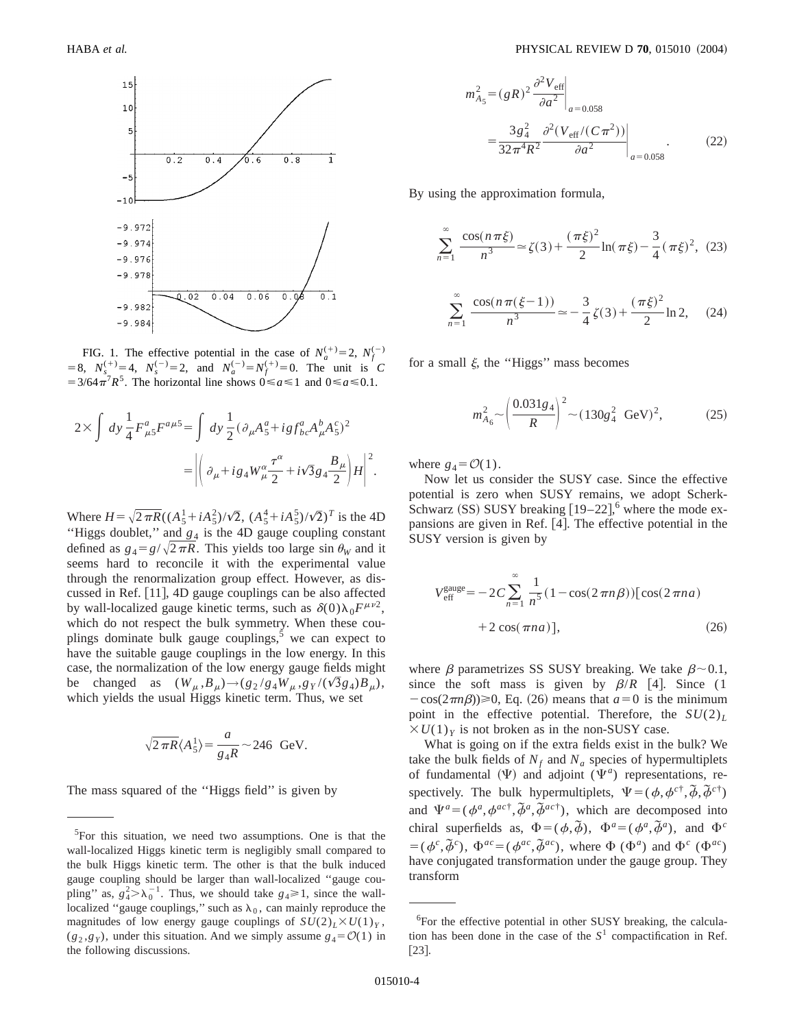

FIG. 1. The effective potential in the case of  $N_a^{(+)}=2$ ,  $N_f^{(-)}$  $5=8$ ,  $N_s^{(+)}=4$ ,  $N_s^{(-)}=2$ , and  $N_a^{(-)}=N_f^{(+)}=0$ . The unit is *C*  $=$  3/64 $\pi$ <sup>7</sup>*R*<sup>5</sup>. The horizontal line shows  $0 \le a \le 1$  and  $0 \le a \le 0.1$ .

$$
2\times \int dy \frac{1}{4} F_{\mu 5}^a F^{a\mu 5} = \int dy \frac{1}{2} (\partial_\mu A_5^a + igf_{bc}^a A_\mu^b A_5^c)^2
$$
  
= 
$$
\left| \left( \partial_\mu + ig_4 W_\mu^\alpha \frac{\tau^\alpha}{2} + i\sqrt{3} g_4 \frac{B_\mu}{2} \right) H \right|^2.
$$

Where  $H = \sqrt{2\pi R}((A_5^1 + iA_5^2)/\sqrt{2}, (A_5^4 + iA_5^5)/\sqrt{2})^T$  is the 4D "Higgs doublet," and  $g_4$  is the 4D gauge coupling constant defined as  $g_4 = g/\sqrt{2\pi R}$ . This yields too large sin  $\theta_W$  and it seems hard to reconcile it with the experimental value through the renormalization group effect. However, as discussed in Ref. [11], 4D gauge couplings can be also affected by wall-localized gauge kinetic terms, such as  $\delta(0)\lambda_0F^{\mu\nu2}$ , which do not respect the bulk symmetry. When these couplings dominate bulk gauge couplings, $5$  we can expect to have the suitable gauge couplings in the low energy. In this case, the normalization of the low energy gauge fields might be changed as  $(W_{\mu}, B_{\mu}) \rightarrow (g_2 / g_4 W_{\mu}, g_Y / (\sqrt{3} g_4) B_{\mu}),$ which yields the usual Higgs kinetic term. Thus, we set

$$
\sqrt{2\,\pi R} \langle A_5^1 \rangle = \frac{a}{g_4 R} \sim 246 \text{ GeV}.
$$

The mass squared of the ''Higgs field'' is given by

$$
a_{A_5}^2 = (gR)^2 \frac{\partial^2 V_{\text{eff}}}{\partial a^2} \bigg|_{a = 0.058}
$$
  
= 
$$
\frac{3g_4^2}{32\pi^4 R^2} \frac{\partial^2 (V_{\text{eff}}/(C\pi^2))}{\partial a^2} \bigg|_{a = 0.058}.
$$
 (22)

By using the approximation formula,

*m* 

$$
\sum_{n=1}^{\infty} \frac{\cos(n\pi\xi)}{n^3} \approx \zeta(3) + \frac{(\pi\xi)^2}{2} \ln(\pi\xi) - \frac{3}{4}(\pi\xi)^2, \tag{23}
$$

$$
\sum_{n=1}^{\infty} \frac{\cos(n\pi(\xi-1))}{n^3} \approx -\frac{3}{4}\zeta(3) + \frac{(\pi\xi)^2}{2} \ln 2, \tag{24}
$$

for a small  $\xi$ , the "Higgs" mass becomes

$$
m_{A_6}^2 \sim \left(\frac{0.031g_4}{R}\right)^2 \sim (130g_4^2 \text{ GeV})^2,
$$
 (25)

where  $g_4 = \mathcal{O}(1)$ .

Now let us consider the SUSY case. Since the effective potential is zero when SUSY remains, we adopt Scherk-Schwarz (SS) SUSY breaking  $[19-22]$ , where the mode expansions are given in Ref.  $[4]$ . The effective potential in the SUSY version is given by

$$
V_{\text{eff}}^{\text{gauge}} = -2C \sum_{n=1}^{\infty} \frac{1}{n^5} (1 - \cos(2\pi n \beta)) [\cos(2\pi n a) + 2\cos(\pi n a)], \qquad (26)
$$

where  $\beta$  parametrizes SS SUSY breaking. We take  $\beta \sim 0.1$ , since the soft mass is given by  $\beta/R$  [4]. Since (1)  $-\cos(2\pi n\beta) \ge 0$ , Eq. (26) means that  $a=0$  is the minimum point in the effective potential. Therefore, the  $SU(2)_L$  $\times U(1)_Y$  is not broken as in the non-SUSY case.

What is going on if the extra fields exist in the bulk? We take the bulk fields of  $N_f$  and  $N_a$  species of hypermultiplets of fundamental  $(\Psi)$  and adjoint  $(\Psi^a)$  representations, respectively. The bulk hypermultiplets,  $\Psi = (\phi, \phi^{c\dagger}, \tilde{\phi}, \tilde{\phi}^{c\dagger})$ and  $\Psi^a = (\phi^a, \phi^{ac\dagger}, \tilde{\phi}^a, \tilde{\phi}^{ac\dagger})$ , which are decomposed into chiral superfields as,  $\Phi = (\phi, \tilde{\phi})$ ,  $\Phi^a = (\phi^a, \tilde{\phi}^a)$ , and  $\Phi^c$  $= (\phi^c, \tilde{\phi}^c)$ ,  $\Phi^{ac} = (\phi^{ac}, \tilde{\phi}^{ac})$ , where  $\Phi$  ( $\Phi^a$ ) and  $\Phi^c$  ( $\Phi^{ac}$ ) have conjugated transformation under the gauge group. They transform

<sup>&</sup>lt;sup>5</sup>For this situation, we need two assumptions. One is that the wall-localized Higgs kinetic term is negligibly small compared to the bulk Higgs kinetic term. The other is that the bulk induced gauge coupling should be larger than wall-localized ''gauge coupling" as,  $g_4^2 > \lambda_0^{-1}$ . Thus, we should take  $g_4 \ge 1$ , since the walllocalized "gauge couplings," such as  $\lambda_0$ , can mainly reproduce the magnitudes of low energy gauge couplings of  $SU(2)_L\times U(1)_Y$ ,  $(g_2, g_y)$ , under this situation. And we simply assume  $g_4 = \mathcal{O}(1)$  in the following discussions.

<sup>6</sup> For the effective potential in other SUSY breaking, the calculation has been done in the case of the  $S<sup>1</sup>$  compactification in Ref.  $\lceil 23 \rceil$ .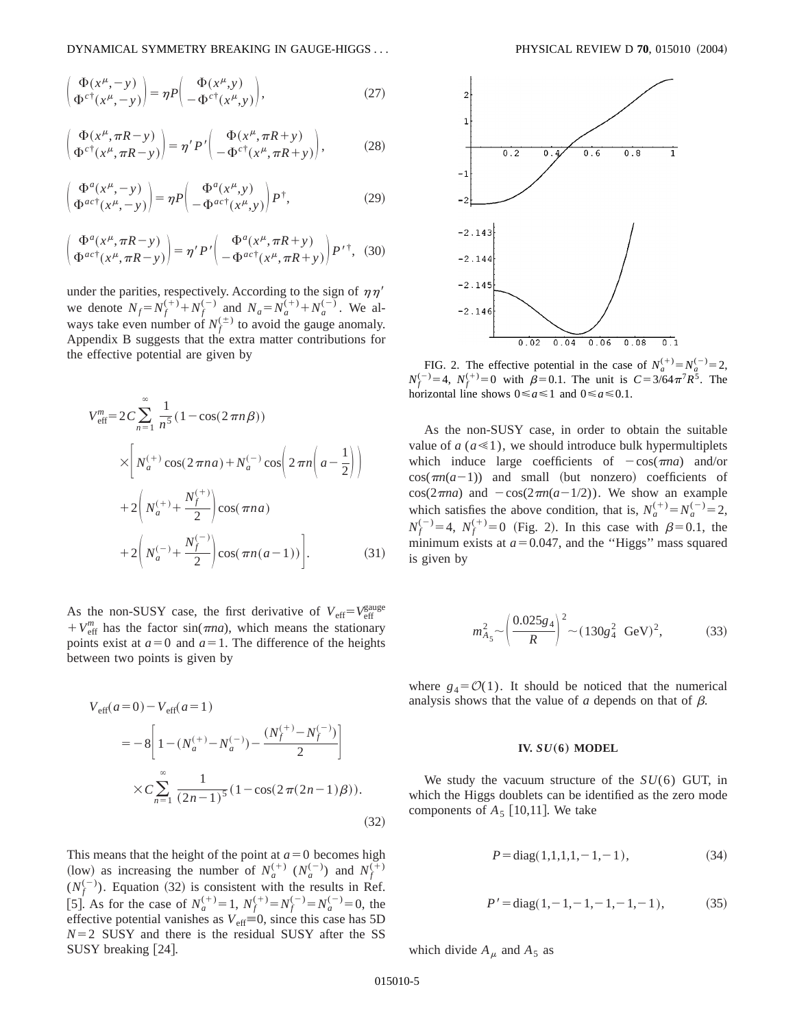$$
\begin{pmatrix} \Phi(x^{\mu}, -y) \\ \Phi^{c\dagger}(x^{\mu}, -y) \end{pmatrix} = \eta P \begin{pmatrix} \Phi(x^{\mu}, y) \\ -\Phi^{c\dagger}(x^{\mu}, y) \end{pmatrix},
$$
\n(27)

$$
\begin{pmatrix} \Phi(x^{\mu}, \pi R - y) \\ \Phi^{c\dagger}(x^{\mu}, \pi R - y) \end{pmatrix} = \eta' P' \begin{pmatrix} \Phi(x^{\mu}, \pi R + y) \\ -\Phi^{c\dagger}(x^{\mu}, \pi R + y) \end{pmatrix},
$$
(28)

$$
\begin{pmatrix} \Phi^{a}(x^{\mu}, -y) \\ \Phi^{ac\dagger}(x^{\mu}, -y) \end{pmatrix} = \eta P \begin{pmatrix} \Phi^{a}(x^{\mu}, y) \\ -\Phi^{ac\dagger}(x^{\mu}, y) \end{pmatrix} P^{\dagger}, \tag{29}
$$

$$
\begin{pmatrix} \Phi^{a}(x^{\mu}, \pi R - y) \\ \Phi^{ac\dagger}(x^{\mu}, \pi R - y) \end{pmatrix} = \eta' P' \begin{pmatrix} \Phi^{a}(x^{\mu}, \pi R + y) \\ -\Phi^{ac\dagger}(x^{\mu}, \pi R + y) \end{pmatrix} P'^{\dagger}, \tag{30}
$$

under the parities, respectively. According to the sign of  $\eta\eta'$ we denote  $N_f = N_f^{(+)} + N_f^{(-)}$  and  $N_a = N_a^{(+)} + N_a^{(-)}$ . We always take even number of  $N_f^{(\pm)}$  to avoid the gauge anomaly. Appendix B suggests that the extra matter contributions for the effective potential are given by

$$
V_{\text{eff}}^{m} = 2C \sum_{n=1}^{\infty} \frac{1}{n^{5}} (1 - \cos(2 \pi n \beta))
$$
  
 
$$
\times \left[ N_{a}^{(+)} \cos(2 \pi n a) + N_{a}^{(-)} \cos\left(2 \pi n \left(a - \frac{1}{2}\right)\right) \right]
$$
  
 
$$
+ 2\left( N_{a}^{(+)} + \frac{N_{f}^{(+)}}{2} \right) \cos(\pi n a)
$$
  
 
$$
+ 2\left( N_{a}^{(-)} + \frac{N_{f}^{(-)}}{2} \right) \cos(\pi n (a - 1)) \Bigg].
$$
 (31)

As the non-SUSY case, the first derivative of  $V_{\text{eff}} = V_{\text{eff}}^{\text{gauge}}$  $+ V_{\text{eff}}^{m}$  has the factor sin( $\pi$ *na*), which means the stationary points exist at  $a=0$  and  $a=1$ . The difference of the heights between two points is given by

$$
V_{\text{eff}}(a=0) - V_{\text{eff}}(a=1)
$$
  
=  $-8 \left[ 1 - (N_a^{(+)} - N_a^{(-)}) - \frac{(N_f^{(+)} - N_f^{(-)})}{2} \right]$   
 $\times C \sum_{n=1}^{\infty} \frac{1}{(2n-1)^5} (1 - \cos(2\pi(2n-1)\beta)).$  (32)

This means that the height of the point at  $a=0$  becomes high (low) as increasing the number of  $N_a^{(+)}$  ( $N_a^{(-)}$ ) and  $N_f^{(+)}$  $(N_f^{(-)})$ . Equation (32) is consistent with the results in Ref. [5]. As for the case of  $N_a^{(+)}=1$ ,  $N_f^{(+)}=N_f^{(-)}=N_a^{(-)}=0$ , the effective potential vanishes as  $V_{\text{eff}} \equiv 0$ , since this case has 5D  $N=2$  SUSY and there is the residual SUSY after the SS SUSY breaking [24].



FIG. 2. The effective potential in the case of  $N_a^{(+)} = N_a^{(-)} = 2$ ,  $N_f^{(-)} = 4$ ,  $N_f^{(+)} = 0$  with  $\beta = 0.1$ . The unit is  $C = 3/64 \pi^7 R^5$ . The horizontal line shows  $0 \le a \le 1$  and  $0 \le a \le 0.1$ .

As the non-SUSY case, in order to obtain the suitable value of  $a (a \ll 1)$ , we should introduce bulk hypermultiplets which induce large coefficients of  $-\cos(\pi na)$  and/or  $cos(\pi n(a-1))$  and small (but nonzero) coefficients of  $cos(2\pi na)$  and  $-cos(2\pi n(a-1/2))$ . We show an example which satisfies the above condition, that is,  $N_a^{(+)} = N_a^{(-)} = 2$ ,  $N_f^{(-)}=4$ ,  $N_f^{(+)}=0$  (Fig. 2). In this case with  $\beta=0.1$ , the minimum exists at  $a=0.047$ , and the "Higgs" mass squared is given by

$$
m_{A_5}^2 \sim \left(\frac{0.025g_4}{R}\right)^2 \sim (130g_4^2 \text{ GeV})^2,
$$
 (33)

where  $g_4 = \mathcal{O}(1)$ . It should be noticed that the numerical analysis shows that the value of  $a$  depends on that of  $\beta$ .

#### **IV.**  $SU(6)$  **MODEL**

We study the vacuum structure of the *SU*(6) GUT, in which the Higgs doublets can be identified as the zero mode components of  $A_5$  [10,11]. We take

$$
P = diag(1,1,1,1,-1,-1), \tag{34}
$$

$$
P' = diag(1, -1, -1, -1, -1, -1),
$$
 (35)

which divide  $A_\mu$  and  $A_5$  as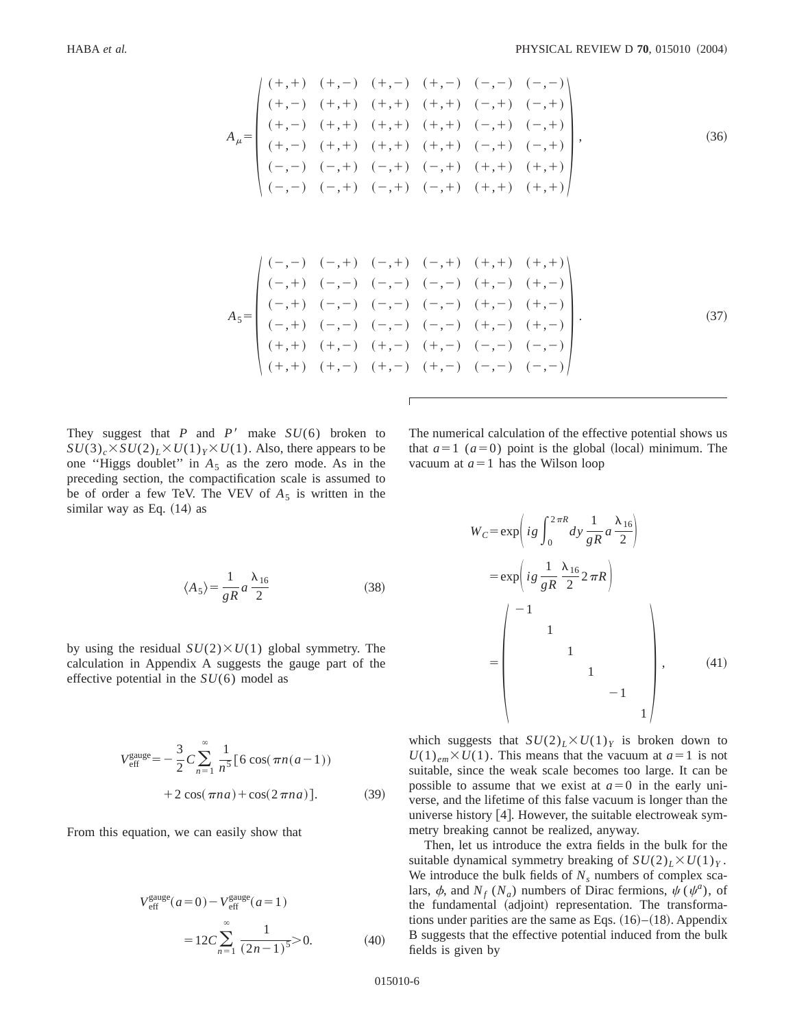$$
A_{\mu} = \begin{pmatrix}\n(+, +) & (+, -) & (+, -) & (+, -) & (-, -) & (-, -) \\
(+, -) & (+, +) & (+, +) & (+, +) & (-, +) & (-, +) \\
(+, -) & (+, +) & (+, +) & (+, +) & (-, +) & (-, +) \\
(+, -) & (+, +) & (+, +) & (+, +) & (-, +) & (-, +) \\
(-, -) & (-, +) & (-, +) & (-, +) & (+, +) & (+, +)\n\end{pmatrix},
$$
\n(36)

$$
A_{5} = \begin{pmatrix} (-,-) & (-,+) & (-,+) & (-,+) & (+,+) & (+,+) & (+,+) \\ (-,+) & (-,-) & (-,-) & (-,-) & (+,-) & (+,-) \\ (-,+) & (-,-) & (-,-) & (-,-) & (+,-) & (+,-) \\ (-,+) & (-,-) & (-,-) & (-,-) & (+,-) & (+,-) \\ (+,+) & (+,-) & (+,-) & (+,-) & (-,-) & (-,-) \\ (+,+) & (+,-) & (+,-) & (+,-) & (-,-) & (-,-) \end{pmatrix}.
$$
(37)

They suggest that *P* and *P'* make  $SU(6)$  broken to  $SU(3)_c \times SU(2)_L \times U(1)_Y \times U(1)$ . Also, there appears to be one "Higgs doublet" in  $A_5$  as the zero mode. As in the preceding section, the compactification scale is assumed to be of order a few TeV. The VEV of  $A_5$  is written in the similar way as Eq.  $(14)$  as

$$
\langle A_5 \rangle = \frac{1}{gR} a \frac{\lambda_{16}}{2} \tag{38}
$$

by using the residual  $SU(2) \times U(1)$  global symmetry. The calculation in Appendix A suggests the gauge part of the effective potential in the *SU*(6) model as

$$
V_{\text{eff}}^{\text{gauge}} = -\frac{3}{2} C \sum_{n=1}^{\infty} \frac{1}{n^5} [6 \cos(\pi n(a-1)) + 2 \cos(\pi n a) + \cos(2\pi n a)]. \tag{39}
$$

From this equation, we can easily show that

$$
V_{\text{eff}}^{\text{gauge}}(a=0) - V_{\text{eff}}^{\text{gauge}}(a=1)
$$
  
= 12C  $\sum_{n=1}^{\infty} \frac{1}{(2n-1)^5} > 0.$  (40)

The numerical calculation of the effective potential shows us that  $a=1$  ( $a=0$ ) point is the global (local) minimum. The vacuum at  $a=1$  has the Wilson loop

$$
W_C = \exp\left(ig \int_0^{2\pi R} dy \frac{1}{gR} a \frac{\lambda_{16}}{2}\right)
$$
  
= 
$$
\exp\left(ig \frac{1}{gR} \frac{\lambda_{16}}{2} 2\pi R\right)
$$
  
= 
$$
\begin{pmatrix} -1 & & & \\ & 1 & & \\ & & 1 & \\ & & & 1 & \\ & & & & 1 \end{pmatrix}, \qquad (41)
$$

which suggests that  $SU(2)_L\times U(1)_Y$  is broken down to  $U(1)_{em} \times U(1)$ . This means that the vacuum at  $a=1$  is not suitable, since the weak scale becomes too large. It can be possible to assume that we exist at  $a=0$  in the early universe, and the lifetime of this false vacuum is longer than the universe history  $[4]$ . However, the suitable electroweak symmetry breaking cannot be realized, anyway.

Then, let us introduce the extra fields in the bulk for the suitable dynamical symmetry breaking of  $SU(2)_L\times U(1)_Y$ . We introduce the bulk fields of  $N<sub>s</sub>$  numbers of complex scalars,  $\phi$ , and *N<sub>f</sub>* (*N<sub>a</sub>*) numbers of Dirac fermions,  $\psi$  ( $\psi$ <sup>*a*</sup>), of the fundamental (adjoint) representation. The transformations under parities are the same as Eqs.  $(16)–(18)$ . Appendix B suggests that the effective potential induced from the bulk fields is given by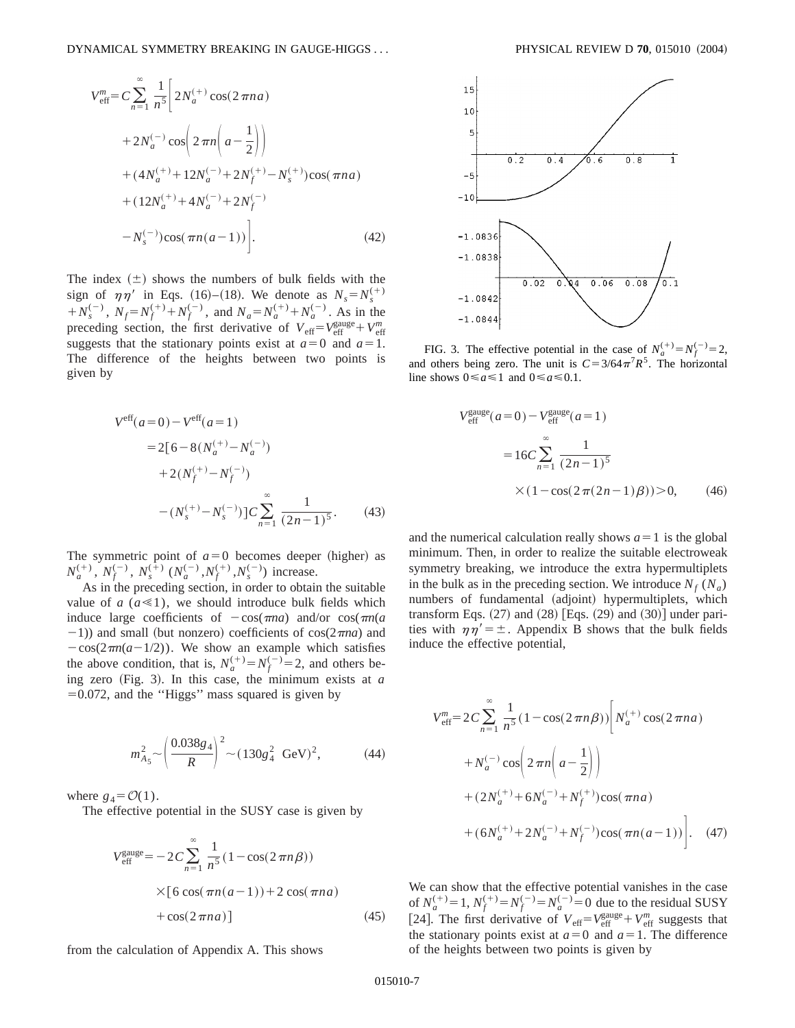$$
V_{\text{eff}}^{m} = C \sum_{n=1}^{\infty} \frac{1}{n^5} \left[ 2N_a^{(+)} \cos(2 \pi n a) + 2N_a^{(-)} \cos\left(2 \pi n \left(a - \frac{1}{2}\right)\right) + (4N_a^{(+)} + 12N_a^{(-)} + 2N_f^{(+)} - N_s^{(+)}) \cos(\pi n a) + (12N_a^{(+)} + 4N_a^{(-)} + 2N_f^{(-)} - N_s^{(-)}) \cos(\pi n (a - 1)) \right].
$$
\n(42)

The index  $(\pm)$  shows the numbers of bulk fields with the sign of  $\eta \eta'$  in Eqs. (16)–(18). We denote as  $N_s = N_s^{(+)}$  $+N_s^{(-)}$ ,  $N_f = N_f^{(+)} + N_f^{(-)}$ , and  $N_a = N_a^{(+)} + N_a^{(-)}$ . As in the preceding section, the first derivative of  $V_{\text{eff}} = V_{\text{eff}}^{\text{gauge}} + V_{\text{eff}}^m$ suggests that the stationary points exist at  $a=0$  and  $a=1$ . The difference of the heights between two points is given by

$$
Veff(a=0) - Veff(a=1)
$$
  
= 2[6-8(N<sub>a</sub><sup>(+)</sup>-N<sub>a</sub><sup>(-)</sup>)  
+ 2(N<sub>f</sub><sup>(+)</sup>-N<sub>f</sub><sup>(-)</sup>)  
-(N<sub>s</sub><sup>(+)</sup>-N<sub>s</sub><sup>(-)</sup>)]C $\sum_{n=1}^{\infty} \frac{1}{(2n-1)^5}$ . (43)

The symmetric point of  $a=0$  becomes deeper (higher) as  $N_a^{(+)}$ ,  $N_f^{(-)}$ ,  $N_s^{(+)}$   $(N_a^{(-)}, N_f^{(+)}, N_s^{(-)})$  increase.

As in the preceding section, in order to obtain the suitable value of  $a$  ( $a \ll 1$ ), we should introduce bulk fields which induce large coefficients of  $-\cos(\pi na)$  and/or  $\cos(\pi n(a))$  $(-1)$ ) and small (but nonzero) coefficients of cos( $2\pi$ *na*) and  $-\cos(2\pi n(a-1/2))$ . We show an example which satisfies the above condition, that is,  $N_a^{(+)} = N_f^{(-)} = 2$ , and others being zero  $(Fig. 3)$ . In this case, the minimum exists at *a*  $=0.072$ , and the "Higgs" mass squared is given by

$$
m_{A_5}^2 \sim \left(\frac{0.038g_4}{R}\right)^2 \sim (130g_4^2 \text{ GeV})^2,
$$
 (44)

where  $g_4 = \mathcal{O}(1)$ .

The effective potential in the SUSY case is given by

$$
V_{\text{eff}}^{\text{gauge}} = -2C \sum_{n=1}^{\infty} \frac{1}{n^5} (1 - \cos(2\pi n \beta))
$$
  
×[6 cos( $\pi n (a-1)$ )+2 cos( $\pi n a$ )  
+ cos(2 $\pi n a$ )] (45)

from the calculation of Appendix A. This shows



FIG. 3. The effective potential in the case of  $N_a^{(+)} = N_f^{(-)} = 2$ , and others being zero. The unit is  $C = 3/64\pi^7 R^5$ . The horizontal line shows  $0 \le a \le 1$  and  $0 \le a \le 0.1$ .

$$
V_{\text{eff}}^{\text{gauge}}(a=0) - V_{\text{eff}}^{\text{gauge}}(a=1)
$$
  
=  $16C \sum_{n=1}^{\infty} \frac{1}{(2n-1)^5}$   
 $\times (1 - \cos(2\pi(2n-1)\beta)) > 0,$  (46)

and the numerical calculation really shows  $a=1$  is the global minimum. Then, in order to realize the suitable electroweak symmetry breaking, we introduce the extra hypermultiplets in the bulk as in the preceding section. We introduce  $N_f(N_a)$ numbers of fundamental (adjoint) hypermultiplets, which transform Eqs.  $(27)$  and  $(28)$  [Eqs.  $(29)$  and  $(30)$ ] under parities with  $\eta \eta' = \pm$ . Appendix B shows that the bulk fields induce the effective potential,

$$
V_{\text{eff}}^{m} = 2C \sum_{n=1}^{\infty} \frac{1}{n^{5}} (1 - \cos(2 \pi n \beta)) \left[ N_{a}^{(+)} \cos(2 \pi n a) + N_{a}^{(-)} \cos\left(2 \pi n \left(a - \frac{1}{2}\right)\right) + (2N_{a}^{(+)} + 6N_{a}^{(-)} + N_{f}^{(+)}) \cos(\pi n a) + (6N_{a}^{(+)} + 2N_{a}^{(-)} + N_{f}^{(-)}) \cos(\pi n (a - 1)) \right]. \quad (47)
$$

We can show that the effective potential vanishes in the case of  $N_a^{(+)} = 1$ ,  $N_f^{(+)} = N_f^{(-)} = N_a^{(-)} = 0$  due to the residual SUSY [24]. The first derivative of  $V_{\text{eff}} = V_{\text{eff}}^{\text{gauge}} + V_{\text{eff}}^m$  suggests that the stationary points exist at  $a=0$  and  $a=1$ . The difference of the heights between two points is given by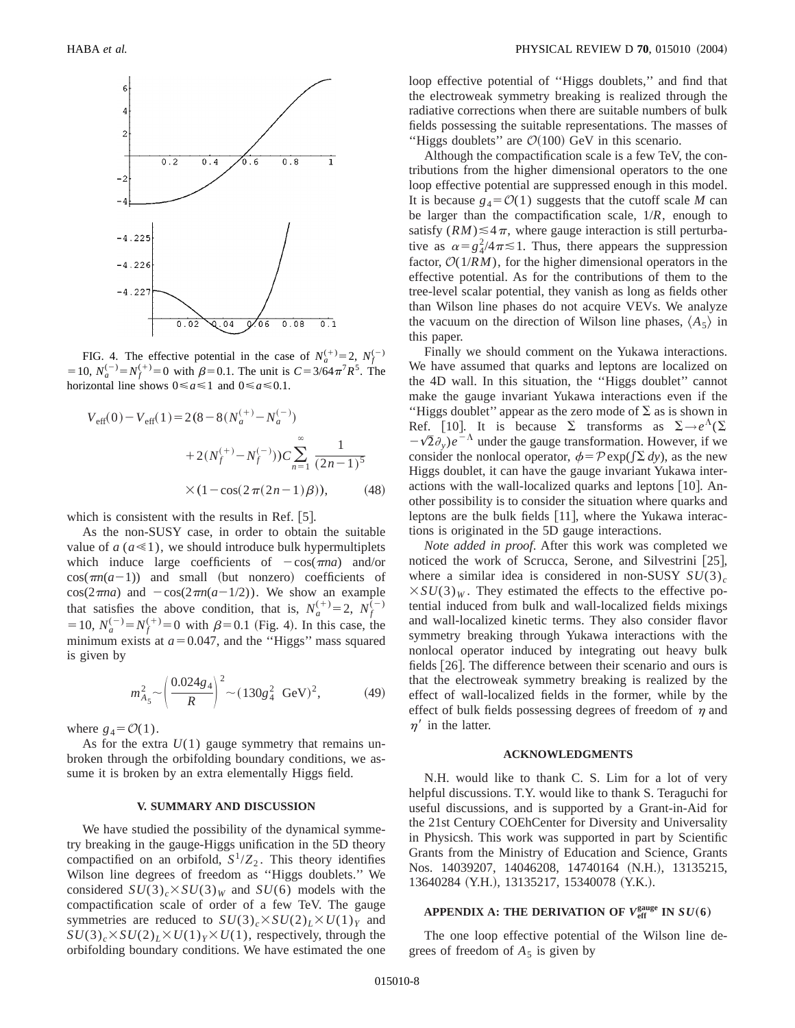

FIG. 4. The effective potential in the case of  $N_a^{(+)}=2$ ,  $N_f^{(-)}$ = 10,  $N_a^{(-)} = N_f^{(+)} = 0$  with  $\beta = 0.1$ . The unit is  $C = 3/64\pi^7 R^5$ . The horizontal line shows  $0 \le a \le 1$  and  $0 \le a \le 0.1$ .

$$
V_{\text{eff}}(0) - V_{\text{eff}}(1) = 2(8 - 8(N_a^{(+)} - N_a^{(-)})
$$

$$
+ 2(N_f^{(+)} - N_f^{(-)}))C \sum_{n=1}^{\infty} \frac{1}{(2n-1)^5}
$$

$$
\times (1 - \cos(2\pi(2n-1)\beta)), \qquad (48)
$$

which is consistent with the results in Ref.  $|5|$ .

As the non-SUSY case, in order to obtain the suitable value of  $a (a \le 1)$ , we should introduce bulk hypermultiplets which induce large coefficients of  $-\cos(\pi na)$  and/or  $cos(\pi n(a-1))$  and small (but nonzero) coefficients of  $cos(2\pi na)$  and  $-cos(2\pi n(a-1/2))$ . We show an example that satisfies the above condition, that is,  $N_a^{(+)}=2$ ,  $N_f^{(-)}$ = 10,  $N_a^{(-)} = N_f^{(+)} = 0$  with  $\beta = 0.1$  (Fig. 4). In this case, the minimum exists at  $a=0.047$ , and the "Higgs" mass squared is given by

$$
m_{A_5}^2 \sim \left(\frac{0.024g_4}{R}\right)^2 \sim (130g_4^2 \text{ GeV})^2,
$$
 (49)

where  $g_4 = \mathcal{O}(1)$ .

As for the extra  $U(1)$  gauge symmetry that remains unbroken through the orbifolding boundary conditions, we assume it is broken by an extra elementally Higgs field.

### **V. SUMMARY AND DISCUSSION**

We have studied the possibility of the dynamical symmetry breaking in the gauge-Higgs unification in the 5D theory compactified on an orbifold,  $S^1/Z_2$ . This theory identifies Wilson line degrees of freedom as ''Higgs doublets.'' We considered  $SU(3)_c \times SU(3)_W$  and  $SU(6)$  models with the compactification scale of order of a few TeV. The gauge symmetries are reduced to  $SU(3)_c \times SU(2)_L \times U(1)_Y$  and  $SU(3)_c \times SU(2)_L \times U(1)_Y \times U(1)$ , respectively, through the orbifolding boundary conditions. We have estimated the one loop effective potential of ''Higgs doublets,'' and find that the electroweak symmetry breaking is realized through the radiative corrections when there are suitable numbers of bulk fields possessing the suitable representations. The masses of "Higgs doublets" are  $\mathcal{O}(100)$  GeV in this scenario.

Although the compactification scale is a few TeV, the contributions from the higher dimensional operators to the one loop effective potential are suppressed enough in this model. It is because  $g_4 = \mathcal{O}(1)$  suggests that the cutoff scale *M* can be larger than the compactification scale, 1/*R*, enough to satisfy  $(RM) \leq 4\pi$ , where gauge interaction is still perturbative as  $\alpha = g_4^2/4\pi \le 1$ . Thus, there appears the suppression factor,  $O(1/RM)$ , for the higher dimensional operators in the effective potential. As for the contributions of them to the tree-level scalar potential, they vanish as long as fields other than Wilson line phases do not acquire VEVs. We analyze the vacuum on the direction of Wilson line phases,  $\langle A_5 \rangle$  in this paper.

Finally we should comment on the Yukawa interactions. We have assumed that quarks and leptons are localized on the 4D wall. In this situation, the ''Higgs doublet'' cannot make the gauge invariant Yukawa interactions even if the "Higgs doublet" appear as the zero mode of  $\Sigma$  as is shown in Ref. [10]. It is because  $\Sigma$  transforms as  $\Sigma \rightarrow e^{\Lambda}(\Sigma)$  $-\sqrt{2}\partial_y$ ) $e^{-\Lambda}$  under the gauge transformation. However, if we consider the nonlocal operator,  $\phi = \mathcal{P} \exp(\int \Sigma dy)$ , as the new Higgs doublet, it can have the gauge invariant Yukawa interactions with the wall-localized quarks and leptons  $[10]$ . Another possibility is to consider the situation where quarks and leptons are the bulk fields  $[11]$ , where the Yukawa interactions is originated in the 5D gauge interactions.

*Note added in proof*. After this work was completed we noticed the work of Scrucca, Serone, and Silvestrini  $[25]$ , where a similar idea is considered in non-SUSY  $SU(3)_c$  $\times SU(3)_W$ . They estimated the effects to the effective potential induced from bulk and wall-localized fields mixings and wall-localized kinetic terms. They also consider flavor symmetry breaking through Yukawa interactions with the nonlocal operator induced by integrating out heavy bulk fields [26]. The difference between their scenario and ours is that the electroweak symmetry breaking is realized by the effect of wall-localized fields in the former, while by the effect of bulk fields possessing degrees of freedom of  $\eta$  and  $\eta'$  in the latter.

#### **ACKNOWLEDGMENTS**

N.H. would like to thank C. S. Lim for a lot of very helpful discussions. T.Y. would like to thank S. Teraguchi for useful discussions, and is supported by a Grant-in-Aid for the 21st Century COEhCenter for Diversity and Universality in Physicsh. This work was supported in part by Scientific Grants from the Ministry of Education and Science, Grants Nos. 14039207, 14046208, 14740164 (N.H.), 13135215, 13640284 (Y.H.), 13135217, 15340078 (Y.K.).

# APPENDIX A: THE DERIVATION OF  $V_{\text{eff}}^{\text{gauge}}$  IN  $SU(6)$

The one loop effective potential of the Wilson line degrees of freedom of  $A_5$  is given by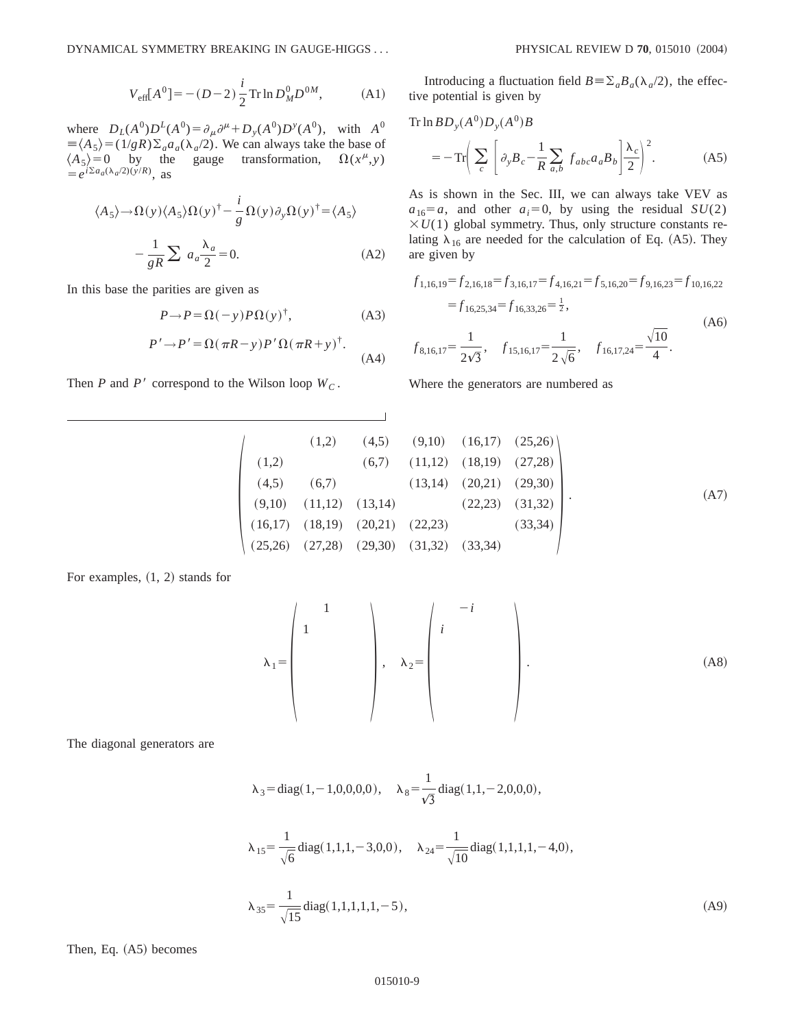$$
V_{\text{eff}}[A^0] = -(D-2)\frac{i}{2}\text{Tr}\ln D_M^0 D^{0M},\tag{A1}
$$

where  $D_L(A^0)D^L(A^0) = \partial_\mu \partial^\mu + D_y(A^0)D^y(A^0)$ , with  $A^0$  $\equiv \langle A_5 \rangle = (1/gR)\Sigma_a a_a(\lambda_a/2)$ . We can always take the base of  $\langle A_5 \rangle = 0$  by the gauge transformation,  $\Omega(x^{\mu}, y)$  $\langle A_5 \rangle = 0$  by the gauge transformation,  $\Omega(x^{\mu}, y)$  $= e^{i\Sigma a_a(\lambda_a/2)(y/R)}$ , as

$$
\langle A_5 \rangle \rightarrow \Omega(y) \langle A_5 \rangle \Omega(y)^\dagger - \frac{i}{g} \Omega(y) \partial_y \Omega(y)^\dagger = \langle A_5 \rangle
$$

$$
-\frac{1}{gR} \sum a_a \frac{\lambda_a}{2} = 0. \tag{A2}
$$

In this base the parities are given as

$$
P \to P = \Omega(-y) P \Omega(y)^{\dagger}, \tag{A3}
$$

$$
P' \to P' = \Omega(\pi R - y)P' \Omega(\pi R + y)^{\dagger}.
$$
 (A4)

Then *P* and *P'* correspond to the Wilson loop  $W_C$ .

Introducing a fluctuation field  $B = \sum_a B_a(\lambda_a/2)$ , the effective potential is given by

Tr ln 
$$
BD_y(A^0)D_y(A^0)B
$$
  
=  $-Tr\left(\sum_c \left[\partial_y B_c - \frac{1}{R} \sum_{a,b} f_{abc} a_a B_b \right] \frac{\lambda_c}{2}\right)^2$ . (A5)

As is shown in the Sec. III, we can always take VEV as  $a_{16}=a$ , and other  $a_i=0$ , by using the residual *SU*(2)  $\times U(1)$  global symmetry. Thus, only structure constants relating  $\lambda_{16}$  are needed for the calculation of Eq. (A5). They are given by

$$
f_{1,16,19} = f_{2,16,18} = f_{3,16,17} = f_{4,16,21} = f_{5,16,20} = f_{9,16,23} = f_{10,16,22}
$$
  
=  $f_{16,25,34} = f_{16,33,26} = \frac{1}{2}$ ,  

$$
f_{8,16,17} = \frac{1}{2\sqrt{3}}, \quad f_{15,16,17} = \frac{1}{2\sqrt{6}}, \quad f_{16,17,24} = \frac{\sqrt{10}}{4}.
$$
 (A6)

Where the generators are numbered as

$$
\begin{pmatrix}\n(1,2) & (4,5) & (9,10) & (16,17) & (25,26) \\
(1,2) & (6,7) & (11,12) & (18,19) & (27,28) \\
(4,5) & (6,7) & (13,14) & (20,21) & (29,30) \\
(9,10) & (11,12) & (13,14) & (22,23) & (31,32) \\
(16,17) & (18,19) & (20,21) & (22,23) & (33,34) \\
(25,26) & (27,28) & (29,30) & (31,32) & (33,34)\n\end{pmatrix}
$$
\n(A7)

For examples,  $(1, 2)$  stands for

l15 S 1 1 D , <sup>l</sup>2<sup>5</sup> S 2*i i* D . <sup>~</sup>A8!

The diagonal generators are

$$
\lambda_3 = \text{diag}(1, -1, 0, 0, 0, 0), \quad \lambda_8 = \frac{1}{\sqrt{3}} \text{diag}(1, 1, -2, 0, 0, 0),
$$

$$
\lambda_{15} = \frac{1}{\sqrt{6}} \text{diag}(1, 1, 1, -3, 0, 0), \quad \lambda_{24} = \frac{1}{\sqrt{10}} \text{diag}(1, 1, 1, 1, -4, 0),
$$

$$
\lambda_{35} = \frac{1}{\sqrt{15}} \text{diag}(1, 1, 1, 1, 1, -5),
$$
(A9)

Then, Eq.  $(A5)$  becomes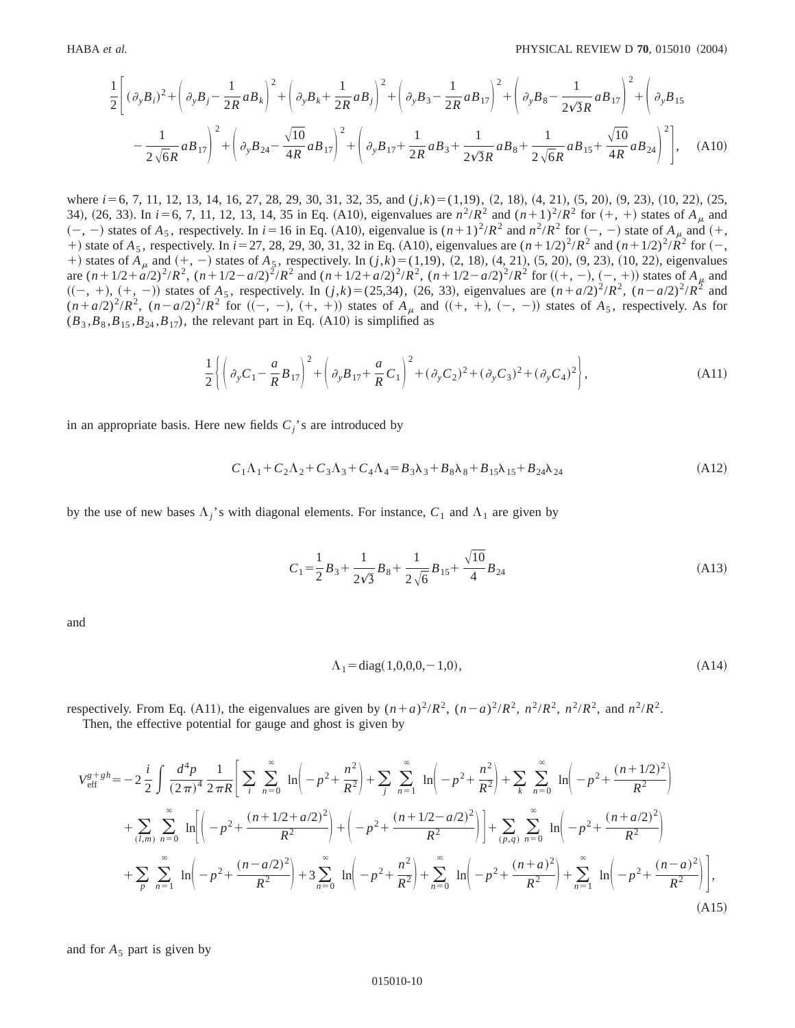$$
\frac{1}{2}\left[ (\partial_y B_i)^2 + \left( \partial_y B_j - \frac{1}{2R} a B_k \right)^2 + \left( \partial_y B_k + \frac{1}{2R} a B_j \right)^2 + \left( \partial_y B_3 - \frac{1}{2R} a B_{17} \right)^2 + \left( \partial_y B_8 - \frac{1}{2\sqrt{3}R} a B_{17} \right)^2 + \left( \partial_y B_{15} - \frac{1}{2\sqrt{6}R} a B_{17} \right)^2 + \left( \partial_y B_{24} - \frac{\sqrt{10}}{4R} a B_{17} \right)^2 + \left( \partial_y B_{17} + \frac{1}{2R} a B_3 + \frac{1}{2\sqrt{3}R} a B_8 + \frac{1}{2\sqrt{6}R} a B_{15} + \frac{\sqrt{10}}{4R} a B_{24} \right)^2 \right], \quad (A10)
$$

where *i* = 6, 7, 11, 12, 13, 14, 16, 27, 28, 29, 30, 31, 32, 35, and (*j*,*k*) = (1,19), (2, 18), (4, 21), (5, 20), (9, 23), (10, 22), (25, 34), (26, 33). In  $i=6, 7, 11, 12, 13, 14, 35$  in Eq. (A10), eigenvalues are  $n^2/R^2$  and  $(n+1)^2/R^2$  for  $(+, +)$  states of  $A_\mu$  and  $(-, -)$  states of  $A_5$ , respectively. In  $i=16$  in Eq. (A10), eigenvalue is  $(n+1)^2/R^2$  and  $n^2/R^2$  for  $(-, -)$  state of  $A_\mu$  and  $(+, -)$ +) state of  $A_5$ , respectively. In  $i=27, 28, 29, 30, 31, 32$  in Eq. (A10), eigenvalues are  $(n+1/2)^2/R^2$  and  $(n+1/2)^2/R^2$  for  $(-,$ +) states of  $A_\mu$  and  $(+, -)$  states of  $A_5$ , respectively. In  $(j, k) = (1, 19)$ ,  $(2, 18)$ ,  $(4, 21)$ ,  $(5, 20)$ ,  $(9, 23)$ ,  $(10, 22)$ , eigenvalues are  $(n+1/2+a/2)^2/R^2$ ,  $(n+1/2-a/2)^2/R^2$  and  $(n+1/2+a/2)^2/R^2$ ,  $(n+1/2-a/2)^2/R^2$  for  $((+,-), (-, +))$  states of  $A_\mu$  and  $((-, +), (+, -))$  states of  $A_5$ , respectively. In  $(j,k)=(25,34)$ ,  $(26, 33)$ , eigenvalues are  $(n+a/2)^2/R^2$ ,  $(n-a/2)^2/R^2$  and  $(n+a/2)^2/R^2$ ,  $(n-a/2)^2/R^2$  for  $((-, -), (+, +))$  states of  $A_\mu$  and  $((+, +), (-, -))$  states of  $A_5$ , respectively. As for  $(B_3, B_8, B_{15}, B_{24}, B_{17})$ , the relevant part in Eq. (A10) is simplified as

$$
\frac{1}{2}\left\{\left(\partial_y C_1 - \frac{a}{R}B_{17}\right)^2 + \left(\partial_y B_{17} + \frac{a}{R}C_1\right)^2 + (\partial_y C_2)^2 + (\partial_y C_3)^2 + (\partial_y C_4)^2\right\},\tag{A11}
$$

in an appropriate basis. Here new fields  $C_i$ 's are introduced by

$$
C_1\Lambda_1 + C_2\Lambda_2 + C_3\Lambda_3 + C_4\Lambda_4 = B_3\lambda_3 + B_8\lambda_8 + B_{15}\lambda_{15} + B_{24}\lambda_{24}
$$
\n(A12)

by the use of new bases  $\Lambda_i$ 's with diagonal elements. For instance,  $C_1$  and  $\Lambda_1$  are given by

$$
C_1 = \frac{1}{2}B_3 + \frac{1}{2\sqrt{3}}B_8 + \frac{1}{2\sqrt{6}}B_{15} + \frac{\sqrt{10}}{4}B_{24}
$$
 (A13)

and

$$
\Lambda_1 = \text{diag}(1, 0, 0, 0, -1, 0),\tag{A14}
$$

respectively. From Eq. (A11), the eigenvalues are given by  $(n+a)^2/R^2$ ,  $(n-a)^2/R^2$ ,  $n^2/R^2$ ,  $n^2/R^2$ , and  $n^2/R^2$ . Then, the effective potential for gauge and ghost is given by

$$
V_{\text{eff}}^{g+gh} = -2\frac{i}{2}\int \frac{d^4p}{(2\pi)^4} \frac{1}{2\pi R} \left[ \sum_{i} \sum_{n=0}^{\infty} \ln \left( -p^2 + \frac{n^2}{R^2} \right) + \sum_{j} \sum_{n=1}^{\infty} \ln \left( -p^2 + \frac{n^2}{R^2} \right) + \sum_{k} \sum_{n=0}^{\infty} \ln \left( -p^2 + \frac{(n+1/2)^2}{R^2} \right) + \sum_{k} \sum_{n=0}^{\infty} \ln \left( -p^2 + \frac{(n+1/2)^2}{R^2} \right) + \sum_{k} \sum_{n=0}^{\infty} \ln \left( -p^2 + \frac{(n+1/2)^2}{R^2} \right) + \sum_{k} \sum_{n=0}^{\infty} \ln \left( -p^2 + \frac{(n+2/2)^2}{R^2} \right) + \sum_{k} \sum_{n=0}^{\infty} \ln \left( -p^2 + \frac{(n+2/2)^2}{R^2} \right) + \sum_{k} \sum_{n=0}^{\infty} \ln \left( -p^2 + \frac{(n+2/2)^2}{R^2} \right) + \sum_{k} \sum_{n=0}^{\infty} \ln \left( -p^2 + \frac{(n+2)^2}{R^2} \right) + \sum_{n=0}^{\infty} \ln \left( -p^2 + \frac{(n+2)^2}{R^2} \right) + \sum_{n=1}^{\infty} \ln \left( -p^2 + \frac{(n-2)^2}{R^2} \right) \Bigg],
$$
\n(A15)

and for  $A_5$  part is given by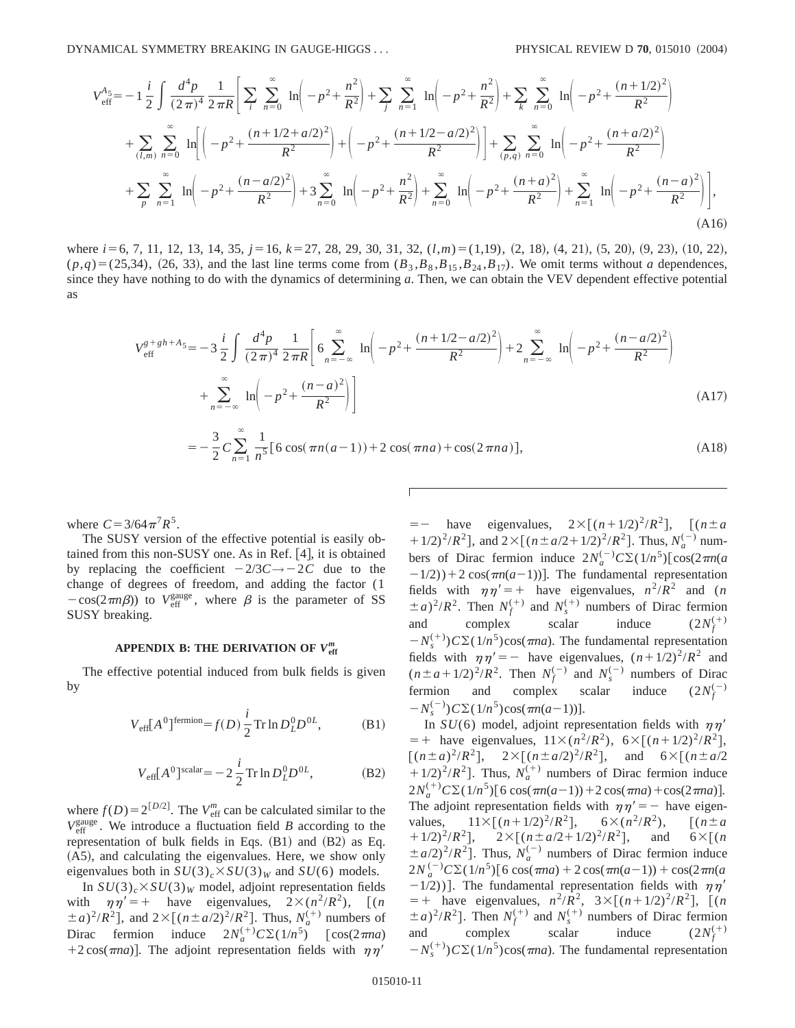DYNAMICAL SYMMETRY BREAKING IN GAUGE-HIGGS . . . **PHYSICAL REVIEW D 70**, 015010 (2004)

$$
V_{\text{eff}}^{A_5} = -1 \frac{i}{2} \int \frac{d^4 p}{(2\pi)^4} \frac{1}{2\pi R} \Bigg[ \sum_{i} \sum_{n=0}^{\infty} \ln \Big( -p^2 + \frac{n^2}{R^2} \Big) + \sum_{j} \sum_{n=1}^{\infty} \ln \Big( -p^2 + \frac{n^2}{R^2} \Big) + \sum_{k} \sum_{n=0}^{\infty} \ln \Big( -p^2 + \frac{(n+1/2)^2}{R^2} \Big) + \sum_{k} \sum_{n=0}^{\infty} \ln \Big( -p^2 + \frac{(n+1/2)^2}{R^2} \Big) + \sum_{k} \sum_{n=0}^{\infty} \ln \Big( -p^2 + \frac{(n+1/2+a/2)^2}{R^2} \Big) + \Big( -p^2 + \frac{(n+1/2-a/2)^2}{R^2} \Big) + \sum_{p=0}^{\infty} \sum_{n=0}^{\infty} \ln \Big( -p^2 + \frac{(n+a/2)^2}{R^2} \Big) + \sum_{n=0}^{\infty} \sum_{n=0}^{\infty} \ln \Big( -p^2 + \frac{(n+a/2)^2}{R^2} \Big) + \sum_{n=0}^{\infty} \ln \Big( -p^2 + \frac{(n+a)^2}{R^2} \Big) + \sum_{n=1}^{\infty} \ln \Big( -p^2 + \frac{(n-a)^2}{R^2} \Big) \Bigg],
$$
\n(A16)

where *i* = 6, 7, 11, 12, 13, 14, 35, *j* = 16, *k* = 27, 28, 29, 30, 31, 32,  $(l,m)$  = (1,19), (2, 18), (4, 21), (5, 20), (9, 23), (10, 22),  $(p,q)=(25,34)$ ,  $(26, 33)$ , and the last line terms come from  $(B_3, B_8, B_{15}, B_{24}, B_{17})$ . We omit terms without *a* dependences, since they have nothing to do with the dynamics of determining *a*. Then, we can obtain the VEV dependent effective potential as

$$
V_{\text{eff}}^{g+gh+A_5} = -3\frac{i}{2} \int \frac{d^4p}{(2\pi)^4} \frac{1}{2\pi R} \left[ 6 \sum_{n=-\infty}^{\infty} \ln \left( -p^2 + \frac{(n+1/2 - a/2)^2}{R^2} \right) + 2 \sum_{n=-\infty}^{\infty} \ln \left( -p^2 + \frac{(n-a/2)^2}{R^2} \right) + \sum_{n=-\infty}^{\infty} \ln \left( -p^2 + \frac{(n-a)^2}{R^2} \right) \right]
$$
(A17)

$$
= -\frac{3}{2}C\sum_{n=1}^{\infty}\frac{1}{n^5}\left[6\cos(\pi n(a-1)) + 2\cos(\pi n a) + \cos(2\pi n a)\right],\tag{A18}
$$

where  $C = 3/64 \pi^7 R^5$ .

The SUSY version of the effective potential is easily obtained from this non-SUSY one. As in Ref.  $[4]$ , it is obtained by replacing the coefficient  $-2/3C \rightarrow -2C$  due to the change of degrees of freedom, and adding the factor (1  $-\cos(2\pi n\beta)$  to  $V_{\text{eff}}^{\text{gauge}}$ , where  $\beta$  is the parameter of SS SUSY breaking.

# **APPENDIX B: THE DERIVATION OF** *V***eff** *m*

The effective potential induced from bulk fields is given by

$$
V_{\text{eff}}[A^0]^{\text{fermion}} = f(D) \frac{i}{2} \text{Tr} \ln D_L^0 D^{0L}, \tag{B1}
$$

$$
V_{\text{eff}}[A^0]^{\text{scalar}} = -2\frac{i}{2}\operatorname{Tr}\ln D_L^0 D^{0L},\tag{B2}
$$

where  $f(D) = 2^{[D/2]}$ . The *V*<sup>m</sup> can be calculated similar to the  $V_{\text{eff}}^{\text{gauge}}$ . We introduce a fluctuation field *B* according to the representation of bulk fields in Eqs.  $(B1)$  and  $(B2)$  as Eq. (A5), and calculating the eigenvalues. Here, we show only eigenvalues both in  $SU(3)_c \times SU(3)_W$  and  $SU(6)$  models.

In  $SU(3)_c$   $\times$   $SU(3)_W$  model, adjoint representation fields with  $\eta \eta' = +$  have eigenvalues,  $2 \times (n^2/R^2)$ , [(*n*)  $(a \pm a)^2/R^2$ , and  $2 \times [(n \pm a/2)^2/R^2]$ . Thus,  $N_a^{(+)}$  numbers of Dirac fermion induce  $2N_a^{(+)}C\Sigma(1/n^5)$  [cos(2 $\pi$ *na*)  $+2 \cos(\pi n a)$ . The adjoint representation fields with  $\eta \eta'$ 

 $=-$  have eigenvalues,  $2\times[(n+1/2)^2/R^2]$ ,  $[(n\pm a)^2]$ + 1/2)<sup>2</sup>/*R*<sup>2</sup>], and 2×[( $n \pm a/2+1/2$ )<sup>2</sup>/*R*<sup>2</sup>]. Thus,  $N_a^{(-)}$  numbers of Dirac fermion induce  $2N_a^{(-)}C\Sigma(1/n^5)[\cos(2\pi n(a$  $(1/2)$ ) + 2 cos( $\pi n(a-1)$ ). The fundamental representation fields with  $\eta \eta' = +$  have eigenvalues,  $n^2/R^2$  and (*n*  $\pm a$ <sup>2</sup>/*R*<sup>2</sup>. Then  $N_f^{(+)}$  and  $N_s^{(+)}$  numbers of Dirac fermion and complex scalar induce  $(2N_f^{(+)})$  $-N_s^{(+)}$ ) $C\Sigma(1/n^5)$ cos( $\pi$ *na*). The fundamental representation fields with  $\eta \eta' = -$  have eigenvalues,  $(n+1/2)^2/R^2$  and  $(n \pm a + 1/2)^2/R^2$ . Then  $N_f^{(-)}$  and  $N_s^{(-)}$  numbers of Dirac fermion and complex scalar induce  $(2N_f^{(-)})$  $-N_s^{(-)}$ )  $C\Sigma(1/n^5)$ cos( $\pi n(a-1)$ )].

In  $SU(6)$  model, adjoint representation fields with  $\eta\eta'$  $=+$  have eigenvalues,  $11\times(n^2/R^2)$ ,  $6\times[(n+1/2)^2/R^2]$ ,  $[(n \pm a)^2/R^2]$ ,  $2 \times [(n \pm a/2)^2/R^2]$ , and  $6 \times [(n \pm a/2)^2/R^2]$  $(11/2)^2/R^2$ ]. Thus,  $N_a^{(+)}$  numbers of Dirac fermion induce  $2N_a^{(+)}C\Sigma(1/n^5)$ [6 cos( $\pi n(a-1)$ )+2 cos( $\pi n a$ )+cos( $2\pi n a$ )]. The adjoint representation fields with  $\eta \eta' = -$  have eigenvalues,  $11 \times [(n+1/2)^2/R^2], \quad 6 \times (n^2/R^2), \quad [(n \pm a$  $(11/2)^2/R^2$ ,  $2\times[(n\pm a/2+1/2)^2/R^2]$ , and  $6\times[(n\pm a/2+1/2)^2/R^2]$  $\pm a/2$ <sup>2</sup>/*R*<sup>2</sup>]. Thus,  $N_a^{(-)}$  numbers of Dirac fermion induce  $2N_a^{(-)}C\Sigma(1/n^5)$ [6 cos( $\pi$ *na*) + 2 cos( $\pi$ *n*( $a$ -1)) + cos( $2\pi$ *n*( $a$  $-1/2)$ ]. The fundamental representation fields with  $\eta \eta'$  $=$  + have eigenvalues,  $n^2/R^2$ ,  $3 \times [(n+1/2)^2/R^2]$ ,  $[(n+1/2)^2/R^2]$  $(a \pm a)^2/R^2$ . Then  $N_f^{(+)}$  and  $N_s^{(+)}$  numbers of Dirac fermion and complex scalar induce  $(2N_f^{(+)})$  $-N_s^{(+)}$ ) $C\Sigma(1/n^5)$ cos( $\pi$ *na*). The fundamental representation